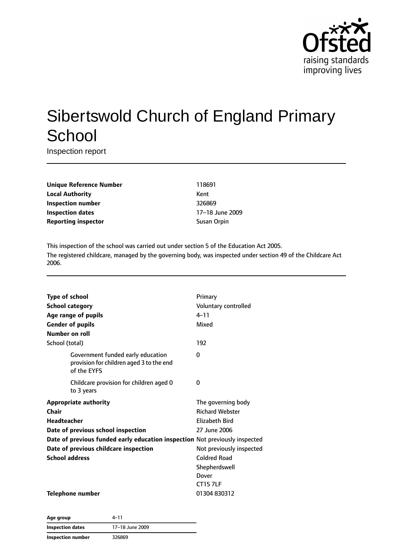

# Sibertswold Church of England Primary **School**

Inspection report

**Unique Reference Number** 118691 **Local Authority** Kent **Inspection number** 326869 **Inspection dates** 17–18 June 2009 **Reporting inspector Susan Orpin** 

This inspection of the school was carried out under section 5 of the Education Act 2005. The registered childcare, managed by the governing body, was inspected under section 49 of the Childcare Act 2006.

| <b>Type of school</b><br><b>School category</b><br>Age range of pupils<br><b>Gender of pupils</b><br>Number on roll | Primary<br>Voluntary controlled<br>$4 - 11$<br>Mixed |
|---------------------------------------------------------------------------------------------------------------------|------------------------------------------------------|
| School (total)                                                                                                      | 192                                                  |
| Government funded early education<br>provision for children aged 3 to the end<br>of the EYFS                        | 0                                                    |
| Childcare provision for children aged 0<br>to 3 years                                                               | 0                                                    |
| <b>Appropriate authority</b>                                                                                        | The governing body                                   |
| Chair                                                                                                               | <b>Richard Webster</b>                               |
| <b>Headteacher</b>                                                                                                  | Elizabeth Bird                                       |
| Date of previous school inspection                                                                                  | 27 June 2006                                         |
| Date of previous funded early education inspection Not previously inspected                                         |                                                      |
| Date of previous childcare inspection                                                                               | Not previously inspected                             |
| <b>School address</b>                                                                                               | <b>Coldred Road</b>                                  |
|                                                                                                                     | Shepherdswell                                        |
|                                                                                                                     | Dover                                                |
|                                                                                                                     | <b>CT157LF</b>                                       |
| <b>Telephone number</b>                                                                                             | 01304830312                                          |

**Age group** 4–11 **Inspection dates** 17–18 June 2009 **Inspection number** 326869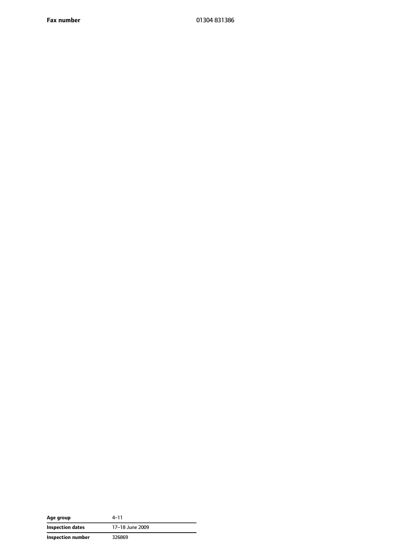**Fax number** 01304 831386

| Age group         | $4 - 11$        |
|-------------------|-----------------|
| Inspection dates  | 17-18 June 2009 |
| Inspection number | 326869          |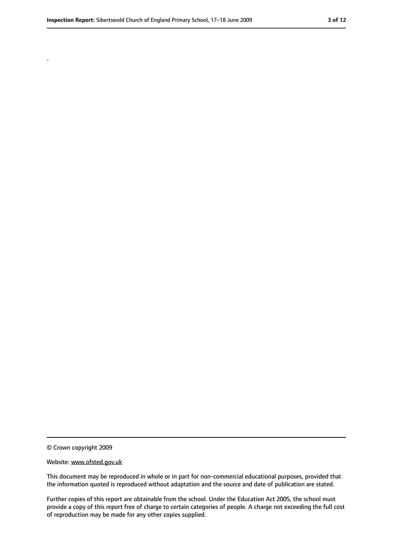.

<sup>©</sup> Crown copyright 2009

Website: www.ofsted.gov.uk

This document may be reproduced in whole or in part for non-commercial educational purposes, provided that the information quoted is reproduced without adaptation and the source and date of publication are stated.

Further copies of this report are obtainable from the school. Under the Education Act 2005, the school must provide a copy of this report free of charge to certain categories of people. A charge not exceeding the full cost of reproduction may be made for any other copies supplied.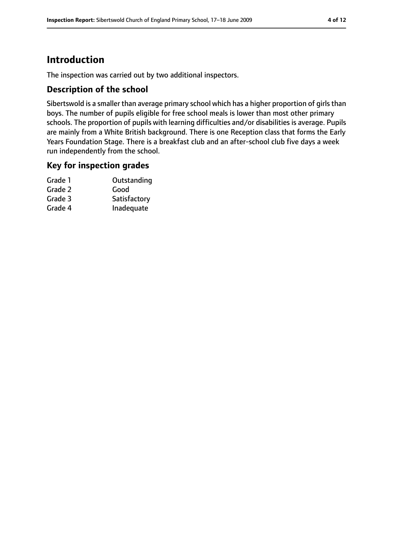# **Introduction**

The inspection was carried out by two additional inspectors.

#### **Description of the school**

Sibertswold is a smaller than average primary school which has a higher proportion of girls than boys. The number of pupils eligible for free school meals is lower than most other primary schools. The proportion of pupils with learning difficulties and/or disabilities is average. Pupils are mainly from a White British background. There is one Reception class that forms the Early Years Foundation Stage. There is a breakfast club and an after-school club five days a week run independently from the school.

#### **Key for inspection grades**

| Grade 1 | Outstanding  |
|---------|--------------|
| Grade 2 | Good         |
| Grade 3 | Satisfactory |
| Grade 4 | Inadequate   |
|         |              |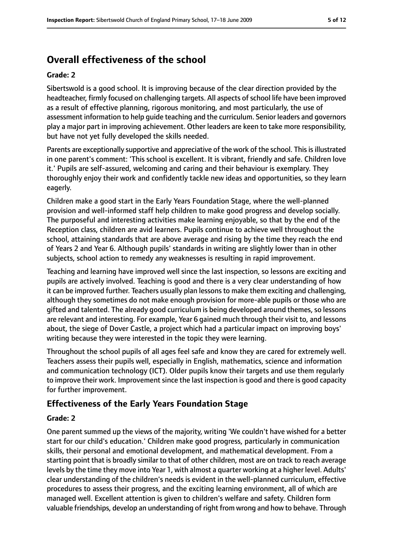# **Overall effectiveness of the school**

#### **Grade: 2**

Sibertswold is a good school. It is improving because of the clear direction provided by the headteacher, firmly focused on challenging targets. All aspects of school life have been improved as a result of effective planning, rigorous monitoring, and most particularly, the use of assessment information to help guide teaching and the curriculum. Senior leaders and governors play a major part in improving achievement. Other leaders are keen to take more responsibility, but have not yet fully developed the skills needed.

Parents are exceptionally supportive and appreciative of the work of the school. This is illustrated in one parent's comment: 'This school is excellent. It is vibrant, friendly and safe. Children love it.' Pupils are self-assured, welcoming and caring and their behaviour is exemplary. They thoroughly enjoy their work and confidently tackle new ideas and opportunities, so they learn eagerly.

Children make a good start in the Early Years Foundation Stage, where the well-planned provision and well-informed staff help children to make good progress and develop socially. The purposeful and interesting activities make learning enjoyable, so that by the end of the Reception class, children are avid learners. Pupils continue to achieve well throughout the school, attaining standards that are above average and rising by the time they reach the end of Years 2 and Year 6. Although pupils' standards in writing are slightly lower than in other subjects, school action to remedy any weaknesses is resulting in rapid improvement.

Teaching and learning have improved well since the last inspection, so lessons are exciting and pupils are actively involved. Teaching is good and there is a very clear understanding of how it can be improved further. Teachers usually plan lessonsto make them exciting and challenging, although they sometimes do not make enough provision for more-able pupils or those who are gifted and talented. The already good curriculum is being developed around themes, so lessons are relevant and interesting. For example, Year 6 gained much through their visit to, and lessons about, the siege of Dover Castle, a project which had a particular impact on improving boys' writing because they were interested in the topic they were learning.

Throughout the school pupils of all ages feel safe and know they are cared for extremely well. Teachers assess their pupils well, especially in English, mathematics, science and information and communication technology (ICT). Older pupils know their targets and use them regularly to improve their work. Improvement since the last inspection is good and there is good capacity for further improvement.

### **Effectiveness of the Early Years Foundation Stage**

#### **Grade: 2**

One parent summed up the views of the majority, writing 'We couldn't have wished for a better start for our child's education.' Children make good progress, particularly in communication skills, their personal and emotional development, and mathematical development. From a starting point that is broadly similar to that of other children, most are on track to reach average levels by the time they move into Year 1, with almost a quarter working at a higher level. Adults' clear understanding of the children's needs is evident in the well-planned curriculum, effective procedures to assess their progress, and the exciting learning environment, all of which are managed well. Excellent attention is given to children's welfare and safety. Children form valuable friendships, develop an understanding of right from wrong and how to behave. Through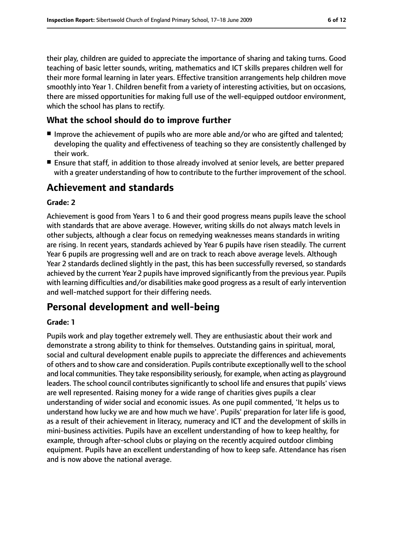their play, children are guided to appreciate the importance of sharing and taking turns. Good teaching of basic letter sounds, writing, mathematics and ICT skills prepares children well for their more formal learning in later years. Effective transition arrangements help children move smoothly into Year 1. Children benefit from a variety of interesting activities, but on occasions, there are missed opportunities for making full use of the well-equipped outdoor environment, which the school has plans to rectify.

# **What the school should do to improve further**

- Improve the achievement of pupils who are more able and/or who are gifted and talented; developing the quality and effectiveness of teaching so they are consistently challenged by their work.
- Ensure that staff, in addition to those already involved at senior levels, are better prepared with a greater understanding of how to contribute to the further improvement of the school.

# **Achievement and standards**

### **Grade: 2**

Achievement is good from Years 1 to 6 and their good progress means pupils leave the school with standards that are above average. However, writing skills do not always match levels in other subjects, although a clear focus on remedying weaknesses means standards in writing are rising. In recent years, standards achieved by Year 6 pupils have risen steadily. The current Year 6 pupils are progressing well and are on track to reach above average levels. Although Year 2 standards declined slightly in the past, this has been successfully reversed, so standards achieved by the current Year 2 pupils have improved significantly from the previous year. Pupils with learning difficulties and/or disabilities make good progress as a result of early intervention and well-matched support for their differing needs.

# **Personal development and well-being**

#### **Grade: 1**

Pupils work and play together extremely well. They are enthusiastic about their work and demonstrate a strong ability to think for themselves. Outstanding gains in spiritual, moral, social and cultural development enable pupils to appreciate the differences and achievements of others and to show care and consideration. Pupils contribute exceptionally well to the school and local communities. They take responsibility seriously, for example, when acting as playground leaders. The school council contributes significantly to school life and ensures that pupils' views are well represented. Raising money for a wide range of charities gives pupils a clear understanding of wider social and economic issues. As one pupil commented, 'It helps us to understand how lucky we are and how much we have'. Pupils' preparation for later life is good, as a result of their achievement in literacy, numeracy and ICT and the development of skills in mini-business activities. Pupils have an excellent understanding of how to keep healthy, for example, through after-school clubs or playing on the recently acquired outdoor climbing equipment. Pupils have an excellent understanding of how to keep safe. Attendance has risen and is now above the national average.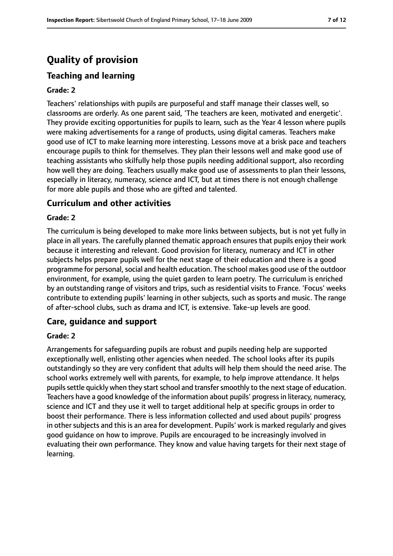# **Quality of provision**

# **Teaching and learning**

#### **Grade: 2**

Teachers' relationships with pupils are purposeful and staff manage their classes well, so classrooms are orderly. As one parent said, 'The teachers are keen, motivated and energetic'. They provide exciting opportunities for pupils to learn, such as the Year 4 lesson where pupils were making advertisements for a range of products, using digital cameras. Teachers make good use of ICT to make learning more interesting. Lessons move at a brisk pace and teachers encourage pupils to think for themselves. They plan their lessons well and make good use of teaching assistants who skilfully help those pupils needing additional support, also recording how well they are doing. Teachers usually make good use of assessments to plan their lessons, especially in literacy, numeracy, science and ICT, but at times there is not enough challenge for more able pupils and those who are gifted and talented.

#### **Curriculum and other activities**

#### **Grade: 2**

The curriculum is being developed to make more links between subjects, but is not yet fully in place in all years. The carefully planned thematic approach ensures that pupils enjoy their work because it interesting and relevant. Good provision for literacy, numeracy and ICT in other subjects helps prepare pupils well for the next stage of their education and there is a good programme for personal, social and health education. The school makes good use of the outdoor environment, for example, using the quiet garden to learn poetry. The curriculum is enriched by an outstanding range of visitors and trips, such as residential visits to France. 'Focus' weeks contribute to extending pupils' learning in other subjects, such as sports and music. The range of after-school clubs, such as drama and ICT, is extensive. Take-up levels are good.

#### **Care, guidance and support**

#### **Grade: 2**

Arrangements for safeguarding pupils are robust and pupils needing help are supported exceptionally well, enlisting other agencies when needed. The school looks after its pupils outstandingly so they are very confident that adults will help them should the need arise. The school works extremely well with parents, for example, to help improve attendance. It helps pupils settle quickly when they start school and transfer smoothly to the next stage of education. Teachers have a good knowledge of the information about pupils' progressin literacy, numeracy, science and ICT and they use it well to target additional help at specific groups in order to boost their performance. There is less information collected and used about pupils' progress in other subjects and this is an area for development. Pupils' work is marked regularly and gives good guidance on how to improve. Pupils are encouraged to be increasingly involved in evaluating their own performance. They know and value having targets for their next stage of learning.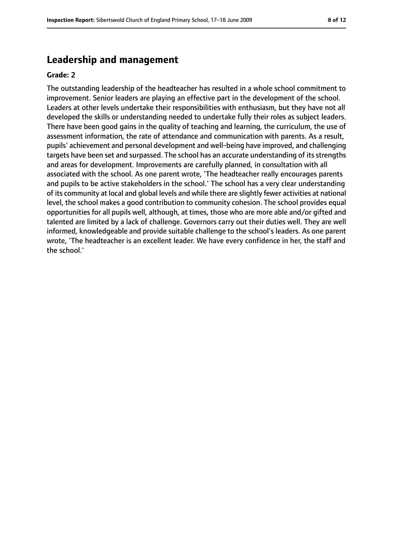### **Leadership and management**

#### **Grade: 2**

The outstanding leadership of the headteacher has resulted in a whole school commitment to improvement. Senior leaders are playing an effective part in the development of the school. Leaders at other levels undertake their responsibilities with enthusiasm, but they have not all developed the skills or understanding needed to undertake fully their roles as subject leaders. There have been good gains in the quality of teaching and learning, the curriculum, the use of assessment information, the rate of attendance and communication with parents. As a result, pupils' achievement and personal development and well-being have improved, and challenging targets have been set and surpassed. The school has an accurate understanding of its strengths and areas for development. Improvements are carefully planned, in consultation with all associated with the school. As one parent wrote, 'The headteacher really encourages parents and pupils to be active stakeholders in the school.' The school has a very clear understanding of its community at local and global levels and while there are slightly fewer activities at national level, the school makes a good contribution to community cohesion. The school provides equal opportunities for all pupils well, although, at times, those who are more able and/or gifted and talented are limited by a lack of challenge. Governors carry out their duties well. They are well informed, knowledgeable and provide suitable challenge to the school's leaders. As one parent wrote, 'The headteacher is an excellent leader. We have every confidence in her, the staff and the school.'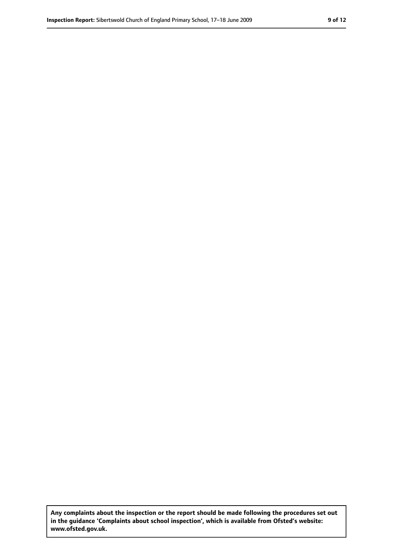**Any complaints about the inspection or the report should be made following the procedures set out in the guidance 'Complaints about school inspection', which is available from Ofsted's website: www.ofsted.gov.uk.**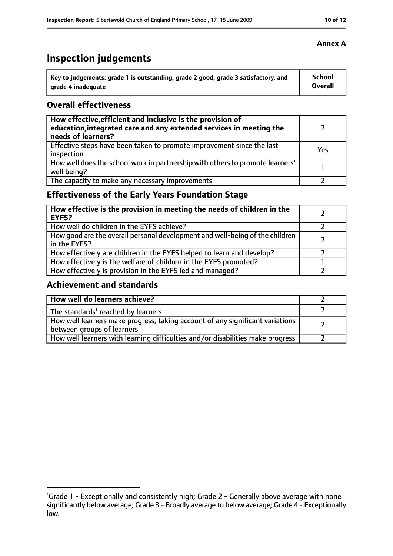# **Inspection judgements**

| Key to judgements: grade 1 is outstanding, grade 2 good, grade 3 satisfactory, and | <b>School</b>  |
|------------------------------------------------------------------------------------|----------------|
| arade 4 inadequate                                                                 | <b>Overall</b> |

### **Overall effectiveness**

| How effective, efficient and inclusive is the provision of<br>education, integrated care and any extended services in meeting the<br>needs of learners? |     |
|---------------------------------------------------------------------------------------------------------------------------------------------------------|-----|
| Effective steps have been taken to promote improvement since the last<br>inspection                                                                     | Yes |
| How well does the school work in partnership with others to promote learners'<br>well being?                                                            |     |
| The capacity to make any necessary improvements                                                                                                         |     |

# **Effectiveness of the Early Years Foundation Stage**

| How effective is the provision in meeting the needs of children in the<br><b>EYFS?</b>       |  |
|----------------------------------------------------------------------------------------------|--|
| How well do children in the EYFS achieve?                                                    |  |
| How good are the overall personal development and well-being of the children<br>in the EYFS? |  |
| How effectively are children in the EYFS helped to learn and develop?                        |  |
| How effectively is the welfare of children in the EYFS promoted?                             |  |
| How effectively is provision in the EYFS led and managed?                                    |  |

### **Achievement and standards**

| How well do learners achieve?                                                                               |  |
|-------------------------------------------------------------------------------------------------------------|--|
| The standards <sup>1</sup> reached by learners                                                              |  |
| How well learners make progress, taking account of any significant variations<br>between groups of learners |  |
| How well learners with learning difficulties and/or disabilities make progress                              |  |

<sup>&</sup>lt;sup>1</sup>Grade 1 - Exceptionally and consistently high; Grade 2 - Generally above average with none significantly below average; Grade 3 - Broadly average to below average; Grade 4 - Exceptionally low.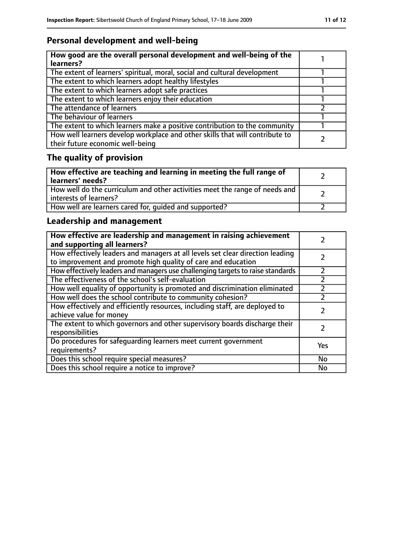# **Personal development and well-being**

| How good are the overall personal development and well-being of the<br>learners?                                 |  |
|------------------------------------------------------------------------------------------------------------------|--|
| The extent of learners' spiritual, moral, social and cultural development                                        |  |
| The extent to which learners adopt healthy lifestyles                                                            |  |
| The extent to which learners adopt safe practices                                                                |  |
| The extent to which learners enjoy their education                                                               |  |
| The attendance of learners                                                                                       |  |
| The behaviour of learners                                                                                        |  |
| The extent to which learners make a positive contribution to the community                                       |  |
| How well learners develop workplace and other skills that will contribute to<br>their future economic well-being |  |

# **The quality of provision**

| How effective are teaching and learning in meeting the full range of<br>learners' needs?              |  |
|-------------------------------------------------------------------------------------------------------|--|
| How well do the curriculum and other activities meet the range of needs and<br>interests of learners? |  |
| How well are learners cared for, quided and supported?                                                |  |

# **Leadership and management**

| How effective are leadership and management in raising achievement<br>and supporting all learners?                                              |     |
|-------------------------------------------------------------------------------------------------------------------------------------------------|-----|
| How effectively leaders and managers at all levels set clear direction leading<br>to improvement and promote high quality of care and education |     |
| How effectively leaders and managers use challenging targets to raise standards                                                                 |     |
| The effectiveness of the school's self-evaluation                                                                                               |     |
| How well equality of opportunity is promoted and discrimination eliminated                                                                      |     |
| How well does the school contribute to community cohesion?                                                                                      |     |
| How effectively and efficiently resources, including staff, are deployed to<br>achieve value for money                                          |     |
| The extent to which governors and other supervisory boards discharge their<br>responsibilities                                                  |     |
| Do procedures for safequarding learners meet current government<br>requirements?                                                                | Yes |
| Does this school require special measures?                                                                                                      | No  |
| Does this school require a notice to improve?                                                                                                   | No  |